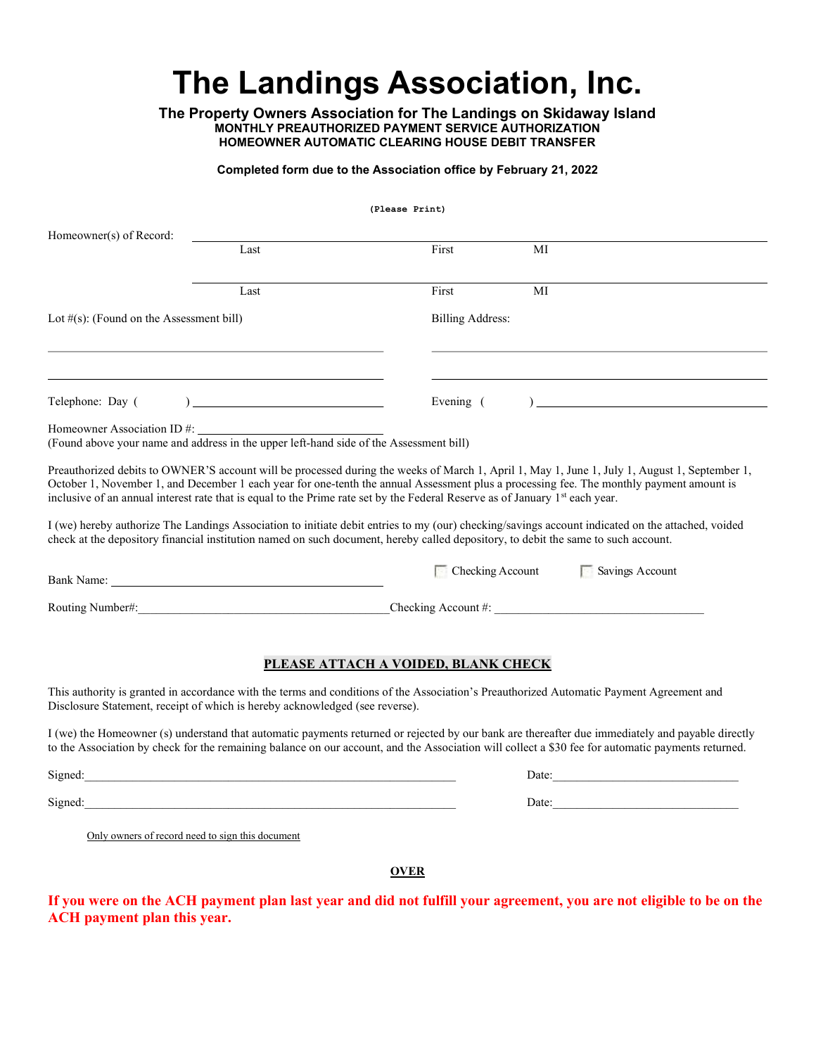# The Landings Association, Inc.

The Property Owners Association for The Landings on Skidaway Island MONTHLY PREAUTHORIZED PAYMENT SERVICE AUTHORIZATION HOMEOWNER AUTOMATIC CLEARING HOUSE DEBIT TRANSFER

## Completed form due to the Association office by February 21, 2022

(Please Print)

| Homeowner(s) of Record:                                                                                                                                                         |                                                                                                                                                                                                                                |                                                                                                                                    |                                                                                                                                                                                                                                                                                                        |
|---------------------------------------------------------------------------------------------------------------------------------------------------------------------------------|--------------------------------------------------------------------------------------------------------------------------------------------------------------------------------------------------------------------------------|------------------------------------------------------------------------------------------------------------------------------------|--------------------------------------------------------------------------------------------------------------------------------------------------------------------------------------------------------------------------------------------------------------------------------------------------------|
|                                                                                                                                                                                 | Last                                                                                                                                                                                                                           | First                                                                                                                              | МI                                                                                                                                                                                                                                                                                                     |
|                                                                                                                                                                                 | Last                                                                                                                                                                                                                           | First                                                                                                                              | MI                                                                                                                                                                                                                                                                                                     |
| Lot $#(s)$ : (Found on the Assessment bill)                                                                                                                                     |                                                                                                                                                                                                                                | <b>Billing Address:</b>                                                                                                            |                                                                                                                                                                                                                                                                                                        |
|                                                                                                                                                                                 |                                                                                                                                                                                                                                |                                                                                                                                    |                                                                                                                                                                                                                                                                                                        |
| Telephone: Day (                                                                                                                                                                |                                                                                                                                                                                                                                | Evening (                                                                                                                          | $\overline{a}$                                                                                                                                                                                                                                                                                         |
|                                                                                                                                                                                 |                                                                                                                                                                                                                                |                                                                                                                                    |                                                                                                                                                                                                                                                                                                        |
|                                                                                                                                                                                 |                                                                                                                                                                                                                                | inclusive of an annual interest rate that is equal to the Prime rate set by the Federal Reserve as of January 1st each year.       | Preauthorized debits to OWNER'S account will be processed during the weeks of March 1, April 1, May 1, June 1, July 1, August 1, September 1,<br>October 1, November 1, and December 1 each year for one-tenth the annual Assessment plus a processing fee. The monthly payment amount is              |
|                                                                                                                                                                                 |                                                                                                                                                                                                                                | check at the depository financial institution named on such document, hereby called depository, to debit the same to such account. | I (we) hereby authorize The Landings Association to initiate debit entries to my (our) checking/savings account indicated on the attached, voided                                                                                                                                                      |
|                                                                                                                                                                                 | Bank Name: The contract of the contract of the contract of the contract of the contract of the contract of the contract of the contract of the contract of the contract of the contract of the contract of the contract of the | $\blacksquare$ Checking Account                                                                                                    | Savings Account                                                                                                                                                                                                                                                                                        |
|                                                                                                                                                                                 | Routing Number#:                                                                                                                                                                                                               |                                                                                                                                    | Checking Account #:                                                                                                                                                                                                                                                                                    |
| PLEASE ATTACH A VOIDED, BLANK CHECK<br>This authority is granted in accordance with the terms and conditions of the Association's Preauthorized Automatic Payment Agreement and |                                                                                                                                                                                                                                |                                                                                                                                    |                                                                                                                                                                                                                                                                                                        |
|                                                                                                                                                                                 | Disclosure Statement, receipt of which is hereby acknowledged (see reverse).                                                                                                                                                   |                                                                                                                                    |                                                                                                                                                                                                                                                                                                        |
|                                                                                                                                                                                 |                                                                                                                                                                                                                                |                                                                                                                                    | I (we) the Homeowner (s) understand that automatic payments returned or rejected by our bank are thereafter due immediately and payable directly<br>to the Association by check for the remaining balance on our account, and the Association will collect a \$30 fee for automatic payments returned. |
|                                                                                                                                                                                 |                                                                                                                                                                                                                                |                                                                                                                                    | Date:                                                                                                                                                                                                                                                                                                  |
| Signed:                                                                                                                                                                         |                                                                                                                                                                                                                                |                                                                                                                                    | Date:                                                                                                                                                                                                                                                                                                  |
|                                                                                                                                                                                 | Only owners of record need to sign this document                                                                                                                                                                               |                                                                                                                                    |                                                                                                                                                                                                                                                                                                        |
| <b>OVER</b>                                                                                                                                                                     |                                                                                                                                                                                                                                |                                                                                                                                    |                                                                                                                                                                                                                                                                                                        |

If you were on the ACH payment plan last year and did not fulfill your agreement, you are not eligible to be on the ACH payment plan this year.